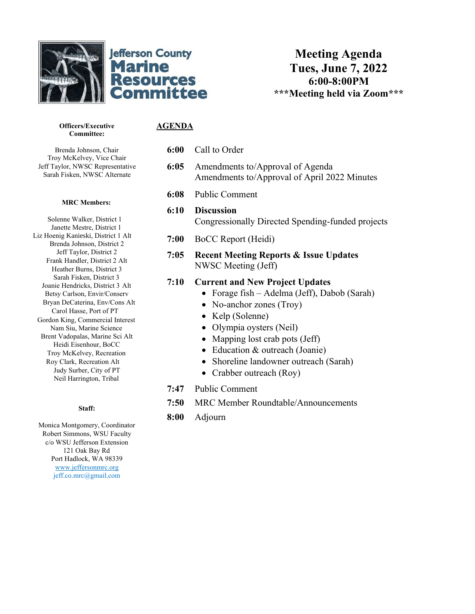



**Meeting Agenda Tues, June 7, 2022 6:00-8:00PM \*\*\*Meeting held via Zoom\*\*\***

# **AGENDA**

**Officers/Executive Committee:**

Brenda Johnson, Chair Troy McKelvey, Vice Chair Jeff Taylor, NWSC Representative Sarah Fisken, NWSC Alternate

#### **MRC Members:**

Solenne Walker, District 1 Janette Mestre, District 1 Liz Hoenig Kanieski, District 1 Alt Brenda Johnson, District 2 Jeff Taylor, District 2 Frank Handler, District 2 Alt Heather Burns, District 3 Sarah Fisken, District 3 Joanie Hendricks, District 3 Alt Betsy Carlson, Envir/Conserv Bryan DeCaterina, Env/Cons Alt Carol Hasse, Port of PT Gordon King, Commercial Interest Nam Siu, Marine Science Brent Vadopalas, Marine Sci Alt Heidi Eisenhour, BoCC Troy McKelvey, Recreation Roy Clark, Recreation Alt Judy Surber, City of PT Neil Harrington, Tribal

#### **Staff:**

Monica Montgomery, Coordinator Robert Simmons, WSU Faculty c/o WSU Jefferson Extension 121 Oak Bay Rd Port Hadlock, WA 98339 [www.jeffersonmrc.org](http://www.jeffersonmrc.org/) jeff.co.mrc@gmail.com

### **6:00** Call to Order

- **6:05** Amendments to/Approval of Agenda Amendments to/Approval of April 2022 Minutes
- **6:08** Public Comment
- **6:10 Discussion** Congressionally Directed Spending-funded projects
- **7:00** BoCC Report (Heidi)
- **7:05 Recent Meeting Reports & Issue Updates** NWSC Meeting (Jeff)

## **7:10 Current and New Project Updates**

- Forage fish Adelma (Jeff), Dabob (Sarah)
- No-anchor zones (Troy)
- Kelp (Solenne)
- Olympia oysters (Neil)
- Mapping lost crab pots (Jeff)
- Education & outreach (Joanie)
- Shoreline landowner outreach (Sarah)
- Crabber outreach (Roy)
- **7:47** Public Comment
- **7:50** MRC Member Roundtable/Announcements
- **8:00** Adjourn